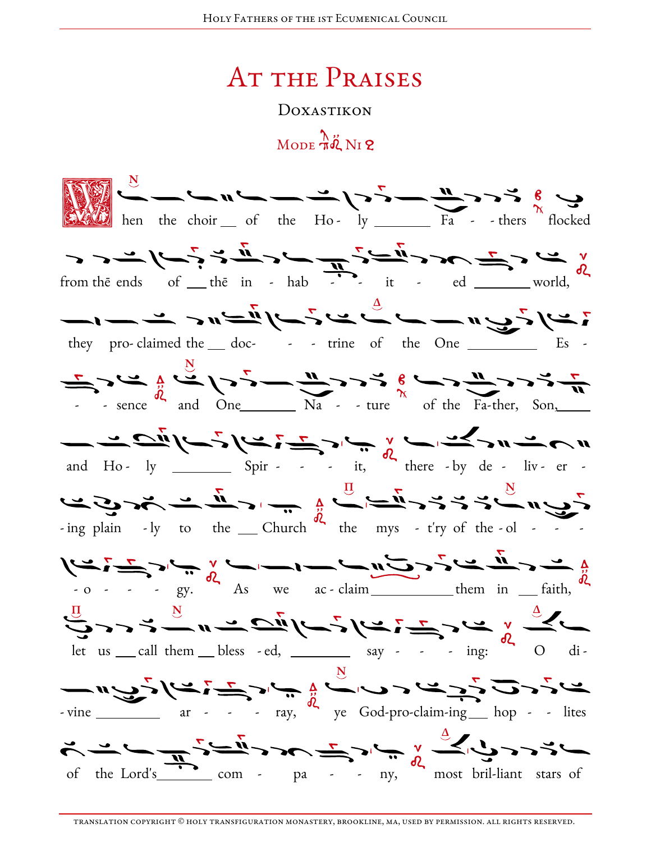## **AT THE PRAISES**

DOXASTIKON

## MODE  $\pi\ddot{\phi}$  N<sub>I</sub> 2